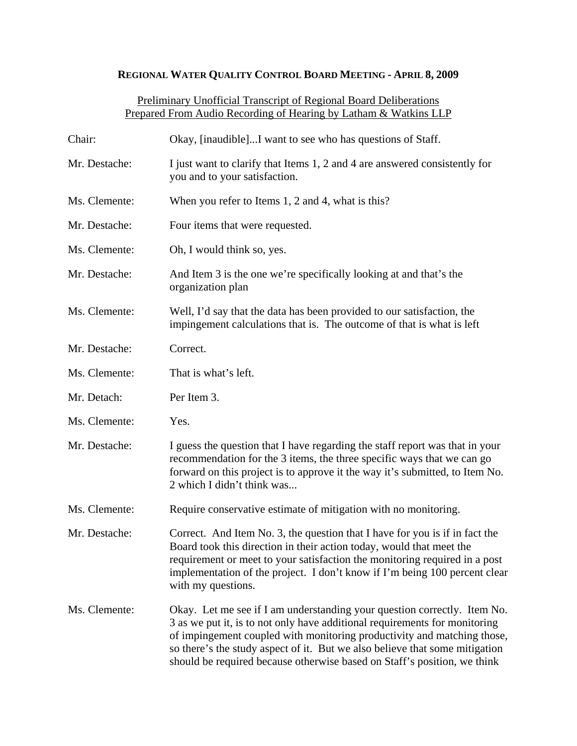## **REGIONAL WATER QUALITY CONTROL BOARD MEETING - APRIL 8, 2009**

## Preliminary Unofficial Transcript of Regional Board Deliberations Prepared From Audio Recording of Hearing by Latham & Watkins LLP

| Chair:        | Okay, [inaudible]I want to see who has questions of Staff.                                                                                                                                                                                                                                                                                                                                   |
|---------------|----------------------------------------------------------------------------------------------------------------------------------------------------------------------------------------------------------------------------------------------------------------------------------------------------------------------------------------------------------------------------------------------|
| Mr. Destache: | I just want to clarify that Items 1, 2 and 4 are answered consistently for<br>you and to your satisfaction.                                                                                                                                                                                                                                                                                  |
| Ms. Clemente: | When you refer to Items 1, 2 and 4, what is this?                                                                                                                                                                                                                                                                                                                                            |
| Mr. Destache: | Four items that were requested.                                                                                                                                                                                                                                                                                                                                                              |
| Ms. Clemente: | Oh, I would think so, yes.                                                                                                                                                                                                                                                                                                                                                                   |
| Mr. Destache: | And Item 3 is the one we're specifically looking at and that's the<br>organization plan                                                                                                                                                                                                                                                                                                      |
| Ms. Clemente: | Well, I'd say that the data has been provided to our satisfaction, the<br>impingement calculations that is. The outcome of that is what is left                                                                                                                                                                                                                                              |
| Mr. Destache: | Correct.                                                                                                                                                                                                                                                                                                                                                                                     |
| Ms. Clemente: | That is what's left.                                                                                                                                                                                                                                                                                                                                                                         |
| Mr. Detach:   | Per Item 3.                                                                                                                                                                                                                                                                                                                                                                                  |
| Ms. Clemente: | Yes.                                                                                                                                                                                                                                                                                                                                                                                         |
| Mr. Destache: | I guess the question that I have regarding the staff report was that in your<br>recommendation for the 3 items, the three specific ways that we can go<br>forward on this project is to approve it the way it's submitted, to Item No.<br>2 which I didn't think was                                                                                                                         |
| Ms. Clemente: | Require conservative estimate of mitigation with no monitoring.                                                                                                                                                                                                                                                                                                                              |
| Mr. Destache: | Correct. And Item No. 3, the question that I have for you is if in fact the<br>Board took this direction in their action today, would that meet the<br>requirement or meet to your satisfaction the monitoring required in a post<br>implementation of the project. I don't know if I'm being 100 percent clear<br>with my questions.                                                        |
| Ms. Clemente: | Okay. Let me see if I am understanding your question correctly. Item No.<br>3 as we put it, is to not only have additional requirements for monitoring<br>of impingement coupled with monitoring productivity and matching those,<br>so there's the study aspect of it. But we also believe that some mitigation<br>should be required because otherwise based on Staff's position, we think |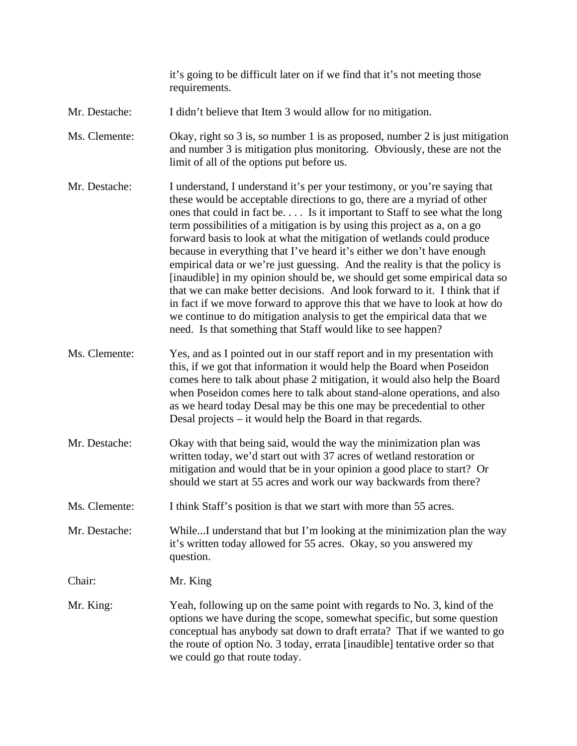it's going to be difficult later on if we find that it's not meeting those requirements.

- Mr. Destache: I didn't believe that Item 3 would allow for no mitigation.
- Ms. Clemente: Okay, right so 3 is, so number 1 is as proposed, number 2 is just mitigation and number 3 is mitigation plus monitoring. Obviously, these are not the limit of all of the options put before us.
- Mr. Destache: I understand, I understand it's per your testimony, or you're saying that these would be acceptable directions to go, there are a myriad of other ones that could in fact be. . . . Is it important to Staff to see what the long term possibilities of a mitigation is by using this project as a, on a go forward basis to look at what the mitigation of wetlands could produce because in everything that I've heard it's either we don't have enough empirical data or we're just guessing. And the reality is that the policy is [inaudible] in my opinion should be, we should get some empirical data so that we can make better decisions. And look forward to it. I think that if in fact if we move forward to approve this that we have to look at how do we continue to do mitigation analysis to get the empirical data that we need. Is that something that Staff would like to see happen?
- Ms. Clemente: Yes, and as I pointed out in our staff report and in my presentation with this, if we got that information it would help the Board when Poseidon comes here to talk about phase 2 mitigation, it would also help the Board when Poseidon comes here to talk about stand-alone operations, and also as we heard today Desal may be this one may be precedential to other Desal projects – it would help the Board in that regards.
- Mr. Destache: Okay with that being said, would the way the minimization plan was written today, we'd start out with 37 acres of wetland restoration or mitigation and would that be in your opinion a good place to start? Or should we start at 55 acres and work our way backwards from there?
- Ms. Clemente: I think Staff's position is that we start with more than 55 acres.

Mr. Destache: While...I understand that but I'm looking at the minimization plan the way it's written today allowed for 55 acres. Okay, so you answered my question.

Chair: Mr. King

Mr. King: Yeah, following up on the same point with regards to No. 3, kind of the options we have during the scope, somewhat specific, but some question conceptual has anybody sat down to draft errata? That if we wanted to go the route of option No. 3 today, errata [inaudible] tentative order so that we could go that route today.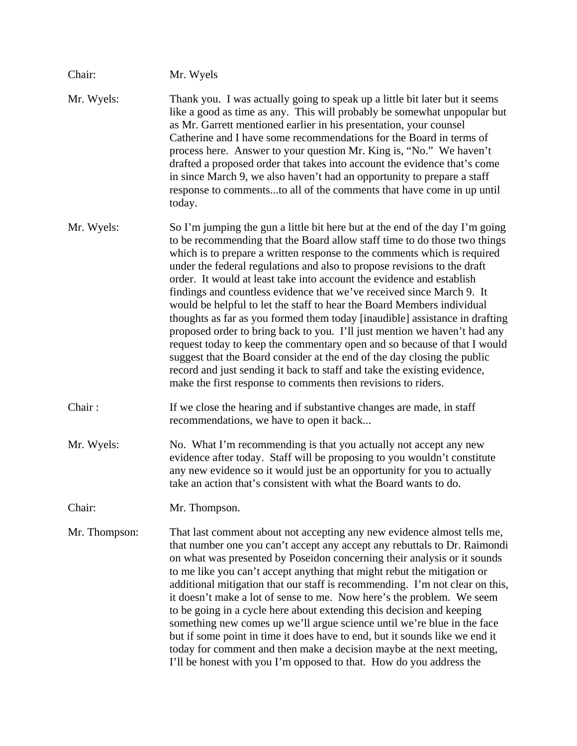| Chair:        | Mr. Wyels                                                                                                                                                                                                                                                                                                                                                                                                                                                                                                                                                                                                                                                                                                                                                                                                                                                                                                                                                                                                      |
|---------------|----------------------------------------------------------------------------------------------------------------------------------------------------------------------------------------------------------------------------------------------------------------------------------------------------------------------------------------------------------------------------------------------------------------------------------------------------------------------------------------------------------------------------------------------------------------------------------------------------------------------------------------------------------------------------------------------------------------------------------------------------------------------------------------------------------------------------------------------------------------------------------------------------------------------------------------------------------------------------------------------------------------|
| Mr. Wyels:    | Thank you. I was actually going to speak up a little bit later but it seems<br>like a good as time as any. This will probably be somewhat unpopular but<br>as Mr. Garrett mentioned earlier in his presentation, your counsel<br>Catherine and I have some recommendations for the Board in terms of<br>process here. Answer to your question Mr. King is, "No." We haven't<br>drafted a proposed order that takes into account the evidence that's come<br>in since March 9, we also haven't had an opportunity to prepare a staff<br>response to commentsto all of the comments that have come in up until<br>today.                                                                                                                                                                                                                                                                                                                                                                                         |
| Mr. Wyels:    | So I'm jumping the gun a little bit here but at the end of the day I'm going<br>to be recommending that the Board allow staff time to do those two things<br>which is to prepare a written response to the comments which is required<br>under the federal regulations and also to propose revisions to the draft<br>order. It would at least take into account the evidence and establish<br>findings and countless evidence that we've received since March 9. It<br>would be helpful to let the staff to hear the Board Members individual<br>thoughts as far as you formed them today [inaudible] assistance in drafting<br>proposed order to bring back to you. I'll just mention we haven't had any<br>request today to keep the commentary open and so because of that I would<br>suggest that the Board consider at the end of the day closing the public<br>record and just sending it back to staff and take the existing evidence,<br>make the first response to comments then revisions to riders. |
| Chair:        | If we close the hearing and if substantive changes are made, in staff<br>recommendations, we have to open it back                                                                                                                                                                                                                                                                                                                                                                                                                                                                                                                                                                                                                                                                                                                                                                                                                                                                                              |
| Mr. Wyels:    | No. What I'm recommending is that you actually not accept any new<br>evidence after today. Staff will be proposing to you wouldn't constitute<br>any new evidence so it would just be an opportunity for you to actually<br>take an action that's consistent with what the Board wants to do.                                                                                                                                                                                                                                                                                                                                                                                                                                                                                                                                                                                                                                                                                                                  |
| Chair:        | Mr. Thompson.                                                                                                                                                                                                                                                                                                                                                                                                                                                                                                                                                                                                                                                                                                                                                                                                                                                                                                                                                                                                  |
| Mr. Thompson: | That last comment about not accepting any new evidence almost tells me,<br>that number one you can't accept any accept any rebuttals to Dr. Raimondi<br>on what was presented by Poseidon concerning their analysis or it sounds<br>to me like you can't accept anything that might rebut the mitigation or<br>additional mitigation that our staff is recommending. I'm not clear on this,<br>it doesn't make a lot of sense to me. Now here's the problem. We seem<br>to be going in a cycle here about extending this decision and keeping<br>something new comes up we'll argue science until we're blue in the face<br>but if some point in time it does have to end, but it sounds like we end it<br>today for comment and then make a decision maybe at the next meeting,<br>I'll be honest with you I'm opposed to that. How do you address the                                                                                                                                                        |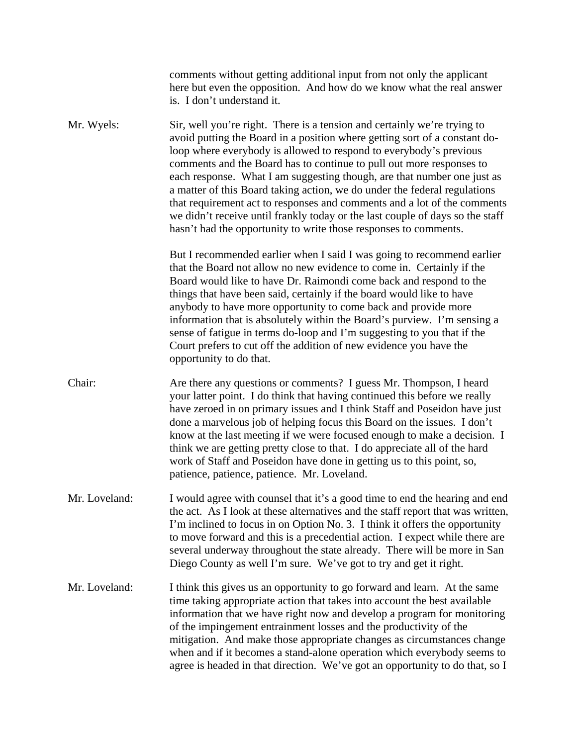|               | comments without getting additional input from not only the applicant<br>here but even the opposition. And how do we know what the real answer<br>is. I don't understand it.                                                                                                                                                                                                                                                                                                                                                                                                                                                                                                                  |
|---------------|-----------------------------------------------------------------------------------------------------------------------------------------------------------------------------------------------------------------------------------------------------------------------------------------------------------------------------------------------------------------------------------------------------------------------------------------------------------------------------------------------------------------------------------------------------------------------------------------------------------------------------------------------------------------------------------------------|
| Mr. Wyels:    | Sir, well you're right. There is a tension and certainly we're trying to<br>avoid putting the Board in a position where getting sort of a constant do-<br>loop where everybody is allowed to respond to everybody's previous<br>comments and the Board has to continue to pull out more responses to<br>each response. What I am suggesting though, are that number one just as<br>a matter of this Board taking action, we do under the federal regulations<br>that requirement act to responses and comments and a lot of the comments<br>we didn't receive until frankly today or the last couple of days so the staff<br>hasn't had the opportunity to write those responses to comments. |
|               | But I recommended earlier when I said I was going to recommend earlier<br>that the Board not allow no new evidence to come in. Certainly if the<br>Board would like to have Dr. Raimondi come back and respond to the<br>things that have been said, certainly if the board would like to have<br>anybody to have more opportunity to come back and provide more<br>information that is absolutely within the Board's purview. I'm sensing a<br>sense of fatigue in terms do-loop and I'm suggesting to you that if the<br>Court prefers to cut off the addition of new evidence you have the<br>opportunity to do that.                                                                      |
| Chair:        | Are there any questions or comments? I guess Mr. Thompson, I heard<br>your latter point. I do think that having continued this before we really<br>have zeroed in on primary issues and I think Staff and Poseidon have just<br>done a marvelous job of helping focus this Board on the issues. I don't<br>know at the last meeting if we were focused enough to make a decision. I<br>think we are getting pretty close to that. I do appreciate all of the hard<br>work of Staff and Poseidon have done in getting us to this point, so,<br>patience, patience, patience. Mr. Loveland.                                                                                                     |
| Mr. Loveland: | I would agree with counsel that it's a good time to end the hearing and end<br>the act. As I look at these alternatives and the staff report that was written,<br>I'm inclined to focus in on Option No. 3. I think it offers the opportunity<br>to move forward and this is a precedential action. I expect while there are<br>several underway throughout the state already. There will be more in San<br>Diego County as well I'm sure. We've got to try and get it right.                                                                                                                                                                                                                 |
| Mr. Loveland: | I think this gives us an opportunity to go forward and learn. At the same<br>time taking appropriate action that takes into account the best available<br>information that we have right now and develop a program for monitoring<br>of the impingement entrainment losses and the productivity of the<br>mitigation. And make those appropriate changes as circumstances change<br>when and if it becomes a stand-alone operation which everybody seems to<br>agree is headed in that direction. We've got an opportunity to do that, so I                                                                                                                                                   |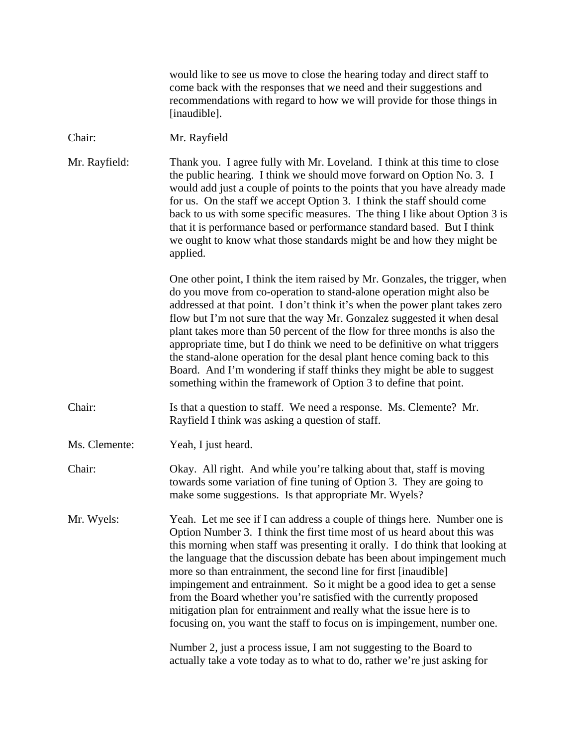| would like to see us move to close the hearing today and direct staff to<br>come back with the responses that we need and their suggestions and<br>recommendations with regard to how we will provide for those things in<br>[inaudible].                                                                                                                                                                                                                                                                                                                                                                                                                                                                                                                    |
|--------------------------------------------------------------------------------------------------------------------------------------------------------------------------------------------------------------------------------------------------------------------------------------------------------------------------------------------------------------------------------------------------------------------------------------------------------------------------------------------------------------------------------------------------------------------------------------------------------------------------------------------------------------------------------------------------------------------------------------------------------------|
| Mr. Rayfield                                                                                                                                                                                                                                                                                                                                                                                                                                                                                                                                                                                                                                                                                                                                                 |
| Thank you. I agree fully with Mr. Loveland. I think at this time to close<br>the public hearing. I think we should move forward on Option No. 3. I<br>would add just a couple of points to the points that you have already made<br>for us. On the staff we accept Option 3. I think the staff should come<br>back to us with some specific measures. The thing I like about Option 3 is<br>that it is performance based or performance standard based. But I think<br>we ought to know what those standards might be and how they might be<br>applied.                                                                                                                                                                                                      |
| One other point, I think the item raised by Mr. Gonzales, the trigger, when<br>do you move from co-operation to stand-alone operation might also be<br>addressed at that point. I don't think it's when the power plant takes zero<br>flow but I'm not sure that the way Mr. Gonzalez suggested it when desal<br>plant takes more than 50 percent of the flow for three months is also the<br>appropriate time, but I do think we need to be definitive on what triggers<br>the stand-alone operation for the desal plant hence coming back to this<br>Board. And I'm wondering if staff thinks they might be able to suggest<br>something within the framework of Option 3 to define that point.                                                            |
| Is that a question to staff. We need a response. Ms. Clemente? Mr.<br>Rayfield I think was asking a question of staff.                                                                                                                                                                                                                                                                                                                                                                                                                                                                                                                                                                                                                                       |
| Yeah, I just heard.                                                                                                                                                                                                                                                                                                                                                                                                                                                                                                                                                                                                                                                                                                                                          |
| Okay. All right. And while you're talking about that, staff is moving<br>towards some variation of fine tuning of Option 3. They are going to<br>make some suggestions. Is that appropriate Mr. Wyels?                                                                                                                                                                                                                                                                                                                                                                                                                                                                                                                                                       |
| Yeah. Let me see if I can address a couple of things here. Number one is<br>Option Number 3. I think the first time most of us heard about this was<br>this morning when staff was presenting it orally. I do think that looking at<br>the language that the discussion debate has been about impingement much<br>more so than entrainment, the second line for first [inaudible]<br>impingement and entrainment. So it might be a good idea to get a sense<br>from the Board whether you're satisfied with the currently proposed<br>mitigation plan for entrainment and really what the issue here is to<br>focusing on, you want the staff to focus on is impingement, number one.<br>Number 2, just a process issue, I am not suggesting to the Board to |
|                                                                                                                                                                                                                                                                                                                                                                                                                                                                                                                                                                                                                                                                                                                                                              |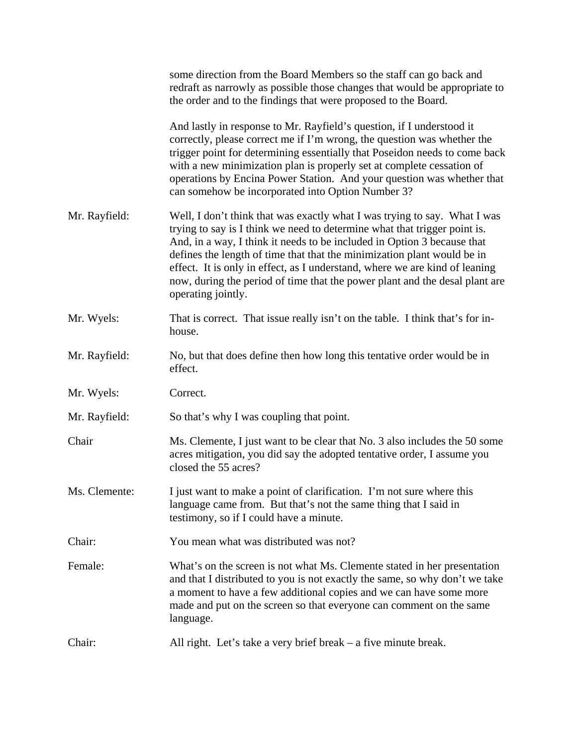|               | some direction from the Board Members so the staff can go back and<br>redraft as narrowly as possible those changes that would be appropriate to<br>the order and to the findings that were proposed to the Board.                                                                                                                                                                                                                                                                               |
|---------------|--------------------------------------------------------------------------------------------------------------------------------------------------------------------------------------------------------------------------------------------------------------------------------------------------------------------------------------------------------------------------------------------------------------------------------------------------------------------------------------------------|
|               | And lastly in response to Mr. Rayfield's question, if I understood it<br>correctly, please correct me if I'm wrong, the question was whether the<br>trigger point for determining essentially that Poseidon needs to come back<br>with a new minimization plan is properly set at complete cessation of<br>operations by Encina Power Station. And your question was whether that<br>can somehow be incorporated into Option Number 3?                                                           |
| Mr. Rayfield: | Well, I don't think that was exactly what I was trying to say. What I was<br>trying to say is I think we need to determine what that trigger point is.<br>And, in a way, I think it needs to be included in Option 3 because that<br>defines the length of time that that the minimization plant would be in<br>effect. It is only in effect, as I understand, where we are kind of leaning<br>now, during the period of time that the power plant and the desal plant are<br>operating jointly. |
| Mr. Wyels:    | That is correct. That issue really isn't on the table. I think that's for in-<br>house.                                                                                                                                                                                                                                                                                                                                                                                                          |
| Mr. Rayfield: | No, but that does define then how long this tentative order would be in<br>effect.                                                                                                                                                                                                                                                                                                                                                                                                               |
| Mr. Wyels:    | Correct.                                                                                                                                                                                                                                                                                                                                                                                                                                                                                         |
| Mr. Rayfield: | So that's why I was coupling that point.                                                                                                                                                                                                                                                                                                                                                                                                                                                         |
| Chair         | Ms. Clemente, I just want to be clear that No. 3 also includes the 50 some<br>acres mitigation, you did say the adopted tentative order, I assume you<br>closed the 55 acres?                                                                                                                                                                                                                                                                                                                    |
| Ms. Clemente: | I just want to make a point of clarification. I'm not sure where this<br>language came from. But that's not the same thing that I said in<br>testimony, so if I could have a minute.                                                                                                                                                                                                                                                                                                             |
| Chair:        | You mean what was distributed was not?                                                                                                                                                                                                                                                                                                                                                                                                                                                           |
| Female:       | What's on the screen is not what Ms. Clemente stated in her presentation<br>and that I distributed to you is not exactly the same, so why don't we take<br>a moment to have a few additional copies and we can have some more<br>made and put on the screen so that everyone can comment on the same<br>language.                                                                                                                                                                                |
| Chair:        | All right. Let's take a very brief break $-$ a five minute break.                                                                                                                                                                                                                                                                                                                                                                                                                                |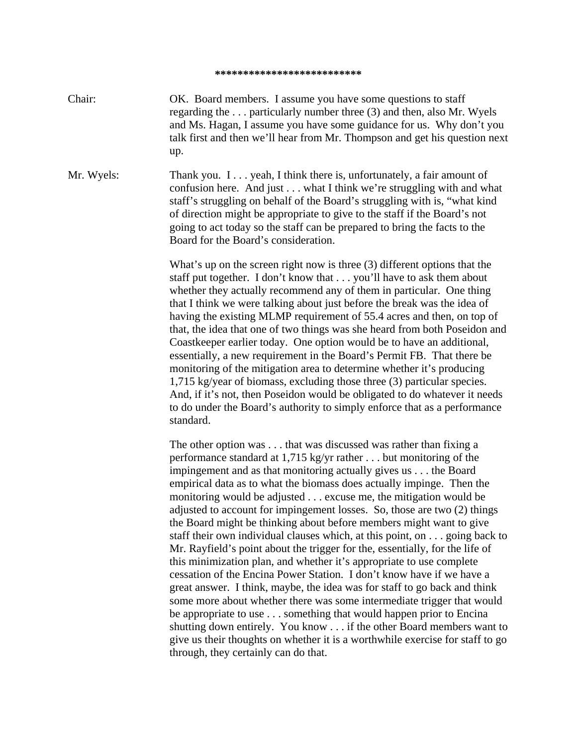## **\*\*\*\*\*\*\*\*\*\*\*\*\*\*\*\*\*\*\*\*\*\*\*\*\*\***

Chair: OK. Board members. I assume you have some questions to staff regarding the . . . particularly number three (3) and then, also Mr. Wyels and Ms. Hagan, I assume you have some guidance for us. Why don't you talk first and then we'll hear from Mr. Thompson and get his question next up.

Mr. Wyels: Thank you. I . . . yeah, I think there is, unfortunately, a fair amount of confusion here. And just . . . what I think we're struggling with and what staff's struggling on behalf of the Board's struggling with is, "what kind of direction might be appropriate to give to the staff if the Board's not going to act today so the staff can be prepared to bring the facts to the Board for the Board's consideration.

> What's up on the screen right now is three (3) different options that the staff put together. I don't know that . . . you'll have to ask them about whether they actually recommend any of them in particular. One thing that I think we were talking about just before the break was the idea of having the existing MLMP requirement of 55.4 acres and then, on top of that, the idea that one of two things was she heard from both Poseidon and Coastkeeper earlier today. One option would be to have an additional, essentially, a new requirement in the Board's Permit FB. That there be monitoring of the mitigation area to determine whether it's producing 1,715 kg/year of biomass, excluding those three (3) particular species. And, if it's not, then Poseidon would be obligated to do whatever it needs to do under the Board's authority to simply enforce that as a performance standard.

> The other option was . . . that was discussed was rather than fixing a performance standard at 1,715 kg/yr rather . . . but monitoring of the impingement and as that monitoring actually gives us . . . the Board empirical data as to what the biomass does actually impinge. Then the monitoring would be adjusted . . . excuse me, the mitigation would be adjusted to account for impingement losses. So, those are two (2) things the Board might be thinking about before members might want to give staff their own individual clauses which, at this point, on . . . going back to Mr. Rayfield's point about the trigger for the, essentially, for the life of this minimization plan, and whether it's appropriate to use complete cessation of the Encina Power Station. I don't know have if we have a great answer. I think, maybe, the idea was for staff to go back and think some more about whether there was some intermediate trigger that would be appropriate to use . . . something that would happen prior to Encina shutting down entirely. You know . . . if the other Board members want to give us their thoughts on whether it is a worthwhile exercise for staff to go through, they certainly can do that.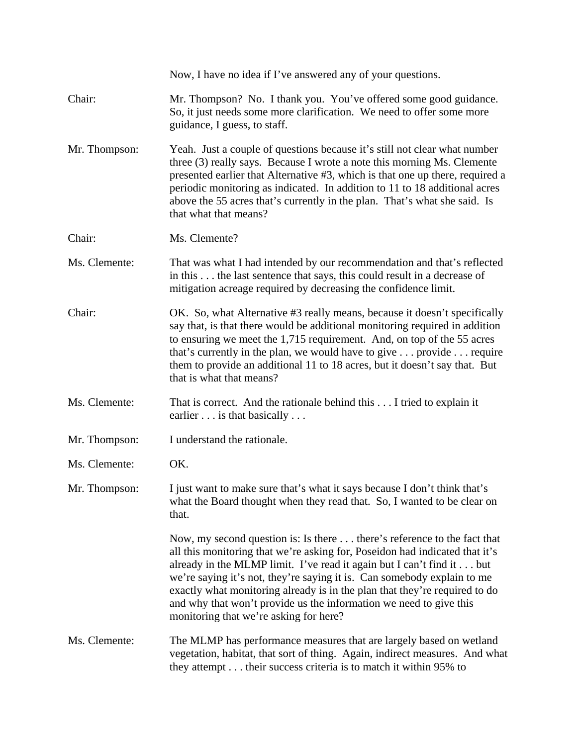|               | Now, I have no idea if I've answered any of your questions.                                                                                                                                                                                                                                                                                                                                                                                                                                              |
|---------------|----------------------------------------------------------------------------------------------------------------------------------------------------------------------------------------------------------------------------------------------------------------------------------------------------------------------------------------------------------------------------------------------------------------------------------------------------------------------------------------------------------|
| Chair:        | Mr. Thompson? No. I thank you. You've offered some good guidance.<br>So, it just needs some more clarification. We need to offer some more<br>guidance, I guess, to staff.                                                                                                                                                                                                                                                                                                                               |
| Mr. Thompson: | Yeah. Just a couple of questions because it's still not clear what number<br>three (3) really says. Because I wrote a note this morning Ms. Clemente<br>presented earlier that Alternative #3, which is that one up there, required a<br>periodic monitoring as indicated. In addition to 11 to 18 additional acres<br>above the 55 acres that's currently in the plan. That's what she said. Is<br>that what that means?                                                                                |
| Chair:        | Ms. Clemente?                                                                                                                                                                                                                                                                                                                                                                                                                                                                                            |
| Ms. Clemente: | That was what I had intended by our recommendation and that's reflected<br>in this the last sentence that says, this could result in a decrease of<br>mitigation acreage required by decreasing the confidence limit.                                                                                                                                                                                                                                                                                    |
| Chair:        | OK. So, what Alternative #3 really means, because it doesn't specifically<br>say that, is that there would be additional monitoring required in addition<br>to ensuring we meet the 1,715 requirement. And, on top of the 55 acres<br>that's currently in the plan, we would have to give provide require<br>them to provide an additional 11 to 18 acres, but it doesn't say that. But<br>that is what that means?                                                                                      |
| Ms. Clemente: | That is correct. And the rationale behind this I tried to explain it<br>earlier $\dots$ is that basically $\dots$                                                                                                                                                                                                                                                                                                                                                                                        |
| Mr. Thompson: | I understand the rationale.                                                                                                                                                                                                                                                                                                                                                                                                                                                                              |
| Ms. Clemente: | OK.                                                                                                                                                                                                                                                                                                                                                                                                                                                                                                      |
| Mr. Thompson: | I just want to make sure that's what it says because I don't think that's<br>what the Board thought when they read that. So, I wanted to be clear on<br>that.                                                                                                                                                                                                                                                                                                                                            |
|               | Now, my second question is: Is there there's reference to the fact that<br>all this monitoring that we're asking for, Poseidon had indicated that it's<br>already in the MLMP limit. I've read it again but I can't find it but<br>we're saying it's not, they're saying it is. Can somebody explain to me<br>exactly what monitoring already is in the plan that they're required to do<br>and why that won't provide us the information we need to give this<br>monitoring that we're asking for here? |
| Ms. Clemente: | The MLMP has performance measures that are largely based on wetland<br>vegetation, habitat, that sort of thing. Again, indirect measures. And what<br>they attempt their success criteria is to match it within 95% to                                                                                                                                                                                                                                                                                   |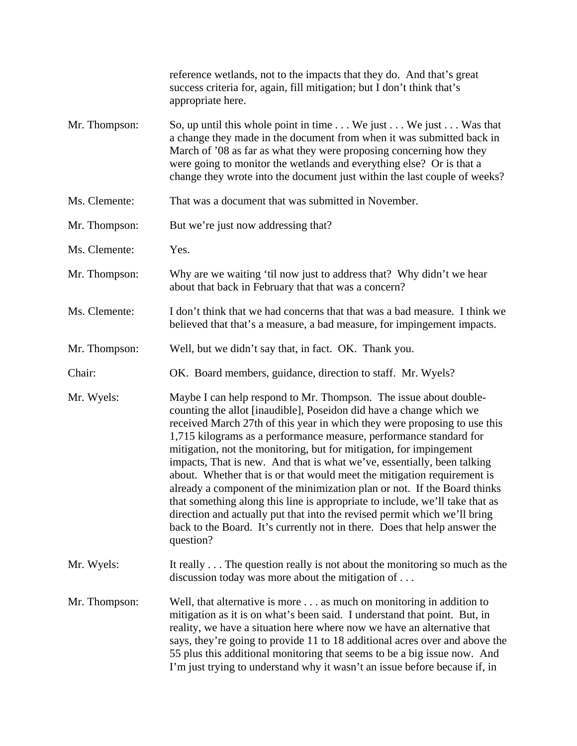|               | reference wetlands, not to the impacts that they do. And that's great<br>success criteria for, again, fill mitigation; but I don't think that's<br>appropriate here.                                                                                                                                                                                                                                                                                                                                                                                                                                                                                                                                                                                                                                                                                        |
|---------------|-------------------------------------------------------------------------------------------------------------------------------------------------------------------------------------------------------------------------------------------------------------------------------------------------------------------------------------------------------------------------------------------------------------------------------------------------------------------------------------------------------------------------------------------------------------------------------------------------------------------------------------------------------------------------------------------------------------------------------------------------------------------------------------------------------------------------------------------------------------|
| Mr. Thompson: | So, up until this whole point in time We just We just Was that<br>a change they made in the document from when it was submitted back in<br>March of '08 as far as what they were proposing concerning how they<br>were going to monitor the wetlands and everything else? Or is that a<br>change they wrote into the document just within the last couple of weeks?                                                                                                                                                                                                                                                                                                                                                                                                                                                                                         |
| Ms. Clemente: | That was a document that was submitted in November.                                                                                                                                                                                                                                                                                                                                                                                                                                                                                                                                                                                                                                                                                                                                                                                                         |
| Mr. Thompson: | But we're just now addressing that?                                                                                                                                                                                                                                                                                                                                                                                                                                                                                                                                                                                                                                                                                                                                                                                                                         |
| Ms. Clemente: | Yes.                                                                                                                                                                                                                                                                                                                                                                                                                                                                                                                                                                                                                                                                                                                                                                                                                                                        |
| Mr. Thompson: | Why are we waiting 'til now just to address that? Why didn't we hear<br>about that back in February that that was a concern?                                                                                                                                                                                                                                                                                                                                                                                                                                                                                                                                                                                                                                                                                                                                |
| Ms. Clemente: | I don't think that we had concerns that that was a bad measure. I think we<br>believed that that's a measure, a bad measure, for impingement impacts.                                                                                                                                                                                                                                                                                                                                                                                                                                                                                                                                                                                                                                                                                                       |
| Mr. Thompson: | Well, but we didn't say that, in fact. OK. Thank you.                                                                                                                                                                                                                                                                                                                                                                                                                                                                                                                                                                                                                                                                                                                                                                                                       |
| Chair:        | OK. Board members, guidance, direction to staff. Mr. Wyels?                                                                                                                                                                                                                                                                                                                                                                                                                                                                                                                                                                                                                                                                                                                                                                                                 |
| Mr. Wyels:    | Maybe I can help respond to Mr. Thompson. The issue about double-<br>counting the allot [inaudible], Poseidon did have a change which we<br>received March 27th of this year in which they were proposing to use this<br>1,715 kilograms as a performance measure, performance standard for<br>mitigation, not the monitoring, but for mitigation, for impingement<br>impacts, That is new. And that is what we've, essentially, been talking<br>about. Whether that is or that would meet the mitigation requirement is<br>already a component of the minimization plan or not. If the Board thinks<br>that something along this line is appropriate to include, we'll take that as<br>direction and actually put that into the revised permit which we'll bring<br>back to the Board. It's currently not in there. Does that help answer the<br>question? |
| Mr. Wyels:    | It really The question really is not about the monitoring so much as the<br>discussion today was more about the mitigation of                                                                                                                                                                                                                                                                                                                                                                                                                                                                                                                                                                                                                                                                                                                               |
| Mr. Thompson: | Well, that alternative is more as much on monitoring in addition to<br>mitigation as it is on what's been said. I understand that point. But, in<br>reality, we have a situation here where now we have an alternative that<br>says, they're going to provide 11 to 18 additional acres over and above the<br>55 plus this additional monitoring that seems to be a big issue now. And<br>I'm just trying to understand why it wasn't an issue before because if, in                                                                                                                                                                                                                                                                                                                                                                                        |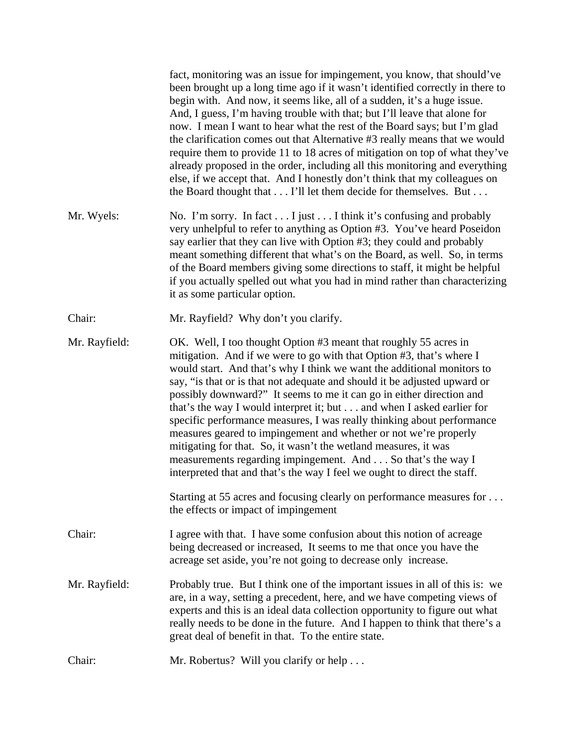|               | fact, monitoring was an issue for impingement, you know, that should've<br>been brought up a long time ago if it wasn't identified correctly in there to<br>begin with. And now, it seems like, all of a sudden, it's a huge issue.<br>And, I guess, I'm having trouble with that; but I'll leave that alone for<br>now. I mean I want to hear what the rest of the Board says; but I'm glad<br>the clarification comes out that Alternative #3 really means that we would<br>require them to provide 11 to 18 acres of mitigation on top of what they've<br>already proposed in the order, including all this monitoring and everything<br>else, if we accept that. And I honestly don't think that my colleagues on<br>the Board thought that I'll let them decide for themselves. But                                                                                              |
|---------------|---------------------------------------------------------------------------------------------------------------------------------------------------------------------------------------------------------------------------------------------------------------------------------------------------------------------------------------------------------------------------------------------------------------------------------------------------------------------------------------------------------------------------------------------------------------------------------------------------------------------------------------------------------------------------------------------------------------------------------------------------------------------------------------------------------------------------------------------------------------------------------------|
| Mr. Wyels:    | No. I'm sorry. In fact $\dots$ I just $\dots$ I think it's confusing and probably<br>very unhelpful to refer to anything as Option #3. You've heard Poseidon<br>say earlier that they can live with Option #3; they could and probably<br>meant something different that what's on the Board, as well. So, in terms<br>of the Board members giving some directions to staff, it might be helpful<br>if you actually spelled out what you had in mind rather than characterizing<br>it as some particular option.                                                                                                                                                                                                                                                                                                                                                                      |
| Chair:        | Mr. Rayfield? Why don't you clarify.                                                                                                                                                                                                                                                                                                                                                                                                                                                                                                                                                                                                                                                                                                                                                                                                                                                  |
| Mr. Rayfield: | OK. Well, I too thought Option #3 meant that roughly 55 acres in<br>mitigation. And if we were to go with that Option #3, that's where I<br>would start. And that's why I think we want the additional monitors to<br>say, "is that or is that not adequate and should it be adjusted upward or<br>possibly downward?" It seems to me it can go in either direction and<br>that's the way I would interpret it; but and when I asked earlier for<br>specific performance measures, I was really thinking about performance<br>measures geared to impingement and whether or not we're properly<br>mitigating for that. So, it wasn't the wetland measures, it was<br>measurements regarding impingement. And So that's the way I<br>interpreted that and that's the way I feel we ought to direct the staff.<br>Starting at 55 acres and focusing clearly on performance measures for |
|               | the effects or impact of impingement                                                                                                                                                                                                                                                                                                                                                                                                                                                                                                                                                                                                                                                                                                                                                                                                                                                  |
| Chair:        | I agree with that. I have some confusion about this notion of acreage<br>being decreased or increased. It seems to me that once you have the<br>acreage set aside, you're not going to decrease only increase.                                                                                                                                                                                                                                                                                                                                                                                                                                                                                                                                                                                                                                                                        |
| Mr. Rayfield: | Probably true. But I think one of the important issues in all of this is: we<br>are, in a way, setting a precedent, here, and we have competing views of<br>experts and this is an ideal data collection opportunity to figure out what<br>really needs to be done in the future. And I happen to think that there's a<br>great deal of benefit in that. To the entire state.                                                                                                                                                                                                                                                                                                                                                                                                                                                                                                         |
| Chair:        | Mr. Robertus? Will you clarify or help                                                                                                                                                                                                                                                                                                                                                                                                                                                                                                                                                                                                                                                                                                                                                                                                                                                |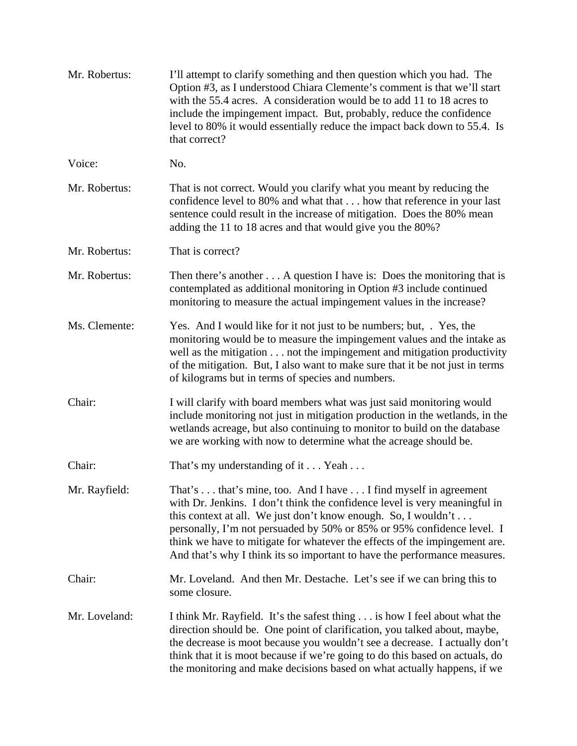| Mr. Robertus: | I'll attempt to clarify something and then question which you had. The<br>Option #3, as I understood Chiara Clemente's comment is that we'll start<br>with the 55.4 acres. A consideration would be to add 11 to 18 acres to<br>include the impingement impact. But, probably, reduce the confidence<br>level to 80% it would essentially reduce the impact back down to 55.4. Is<br>that correct?                                                    |
|---------------|-------------------------------------------------------------------------------------------------------------------------------------------------------------------------------------------------------------------------------------------------------------------------------------------------------------------------------------------------------------------------------------------------------------------------------------------------------|
| Voice:        | No.                                                                                                                                                                                                                                                                                                                                                                                                                                                   |
| Mr. Robertus: | That is not correct. Would you clarify what you meant by reducing the<br>confidence level to 80% and what that how that reference in your last<br>sentence could result in the increase of mitigation. Does the 80% mean<br>adding the 11 to 18 acres and that would give you the 80%?                                                                                                                                                                |
| Mr. Robertus: | That is correct?                                                                                                                                                                                                                                                                                                                                                                                                                                      |
| Mr. Robertus: | Then there's another $\dots$ A question I have is: Does the monitoring that is<br>contemplated as additional monitoring in Option #3 include continued<br>monitoring to measure the actual impingement values in the increase?                                                                                                                                                                                                                        |
| Ms. Clemente: | Yes. And I would like for it not just to be numbers; but, . Yes, the<br>monitoring would be to measure the impingement values and the intake as<br>well as the mitigation not the impingement and mitigation productivity<br>of the mitigation. But, I also want to make sure that it be not just in terms<br>of kilograms but in terms of species and numbers.                                                                                       |
| Chair:        | I will clarify with board members what was just said monitoring would<br>include monitoring not just in mitigation production in the wetlands, in the<br>wetlands acreage, but also continuing to monitor to build on the database<br>we are working with now to determine what the acreage should be.                                                                                                                                                |
| Chair:        | That's my understanding of it Yeah                                                                                                                                                                                                                                                                                                                                                                                                                    |
| Mr. Rayfield: | That's  that's mine, too. And I have  I find myself in agreement<br>with Dr. Jenkins. I don't think the confidence level is very meaningful in<br>this context at all. We just don't know enough. So, I wouldn't<br>personally, I'm not persuaded by 50% or 85% or 95% confidence level. I<br>think we have to mitigate for whatever the effects of the impingement are.<br>And that's why I think its so important to have the performance measures. |
| Chair:        | Mr. Loveland. And then Mr. Destache. Let's see if we can bring this to<br>some closure.                                                                                                                                                                                                                                                                                                                                                               |
| Mr. Loveland: | I think Mr. Rayfield. It's the safest thing is how I feel about what the<br>direction should be. One point of clarification, you talked about, maybe,<br>the decrease is moot because you wouldn't see a decrease. I actually don't<br>think that it is moot because if we're going to do this based on actuals, do<br>the monitoring and make decisions based on what actually happens, if we                                                        |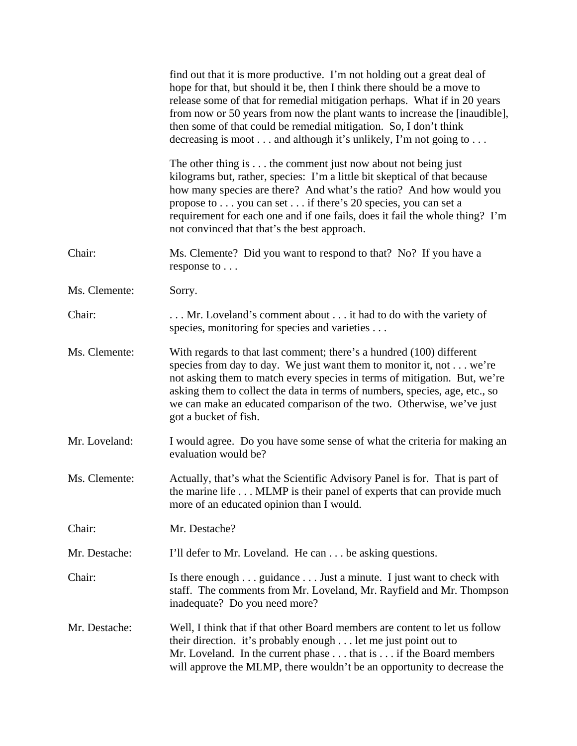|               | find out that it is more productive. I'm not holding out a great deal of<br>hope for that, but should it be, then I think there should be a move to<br>release some of that for remedial mitigation perhaps. What if in 20 years<br>from now or 50 years from now the plant wants to increase the [inaudible],<br>then some of that could be remedial mitigation. So, I don't think<br>decreasing is moot and although it's unlikely, I'm not going to |
|---------------|--------------------------------------------------------------------------------------------------------------------------------------------------------------------------------------------------------------------------------------------------------------------------------------------------------------------------------------------------------------------------------------------------------------------------------------------------------|
|               | The other thing is $\dots$ the comment just now about not being just<br>kilograms but, rather, species: I'm a little bit skeptical of that because<br>how many species are there? And what's the ratio? And how would you<br>propose to you can set if there's 20 species, you can set a<br>requirement for each one and if one fails, does it fail the whole thing? I'm<br>not convinced that that's the best approach.                               |
| Chair:        | Ms. Clemente? Did you want to respond to that? No? If you have a<br>response to                                                                                                                                                                                                                                                                                                                                                                        |
| Ms. Clemente: | Sorry.                                                                                                                                                                                                                                                                                                                                                                                                                                                 |
| Chair:        | Mr. Loveland's comment about  it had to do with the variety of<br>species, monitoring for species and varieties                                                                                                                                                                                                                                                                                                                                        |
| Ms. Clemente: | With regards to that last comment; there's a hundred (100) different<br>species from day to day. We just want them to monitor it, not we're<br>not asking them to match every species in terms of mitigation. But, we're<br>asking them to collect the data in terms of numbers, species, age, etc., so<br>we can make an educated comparison of the two. Otherwise, we've just<br>got a bucket of fish.                                               |
| Mr. Loveland: | I would agree. Do you have some sense of what the criteria for making an<br>evaluation would be?                                                                                                                                                                                                                                                                                                                                                       |
| Ms. Clemente: | Actually, that's what the Scientific Advisory Panel is for. That is part of<br>the marine life MLMP is their panel of experts that can provide much<br>more of an educated opinion than I would.                                                                                                                                                                                                                                                       |
| Chair:        | Mr. Destache?                                                                                                                                                                                                                                                                                                                                                                                                                                          |
| Mr. Destache: | I'll defer to Mr. Loveland. He can be asking questions.                                                                                                                                                                                                                                                                                                                                                                                                |
| Chair:        | Is there enough guidance Just a minute. I just want to check with<br>staff. The comments from Mr. Loveland, Mr. Rayfield and Mr. Thompson<br>inadequate? Do you need more?                                                                                                                                                                                                                                                                             |
| Mr. Destache: | Well, I think that if that other Board members are content to let us follow<br>their direction. it's probably enough let me just point out to<br>Mr. Loveland. In the current phase that is if the Board members<br>will approve the MLMP, there wouldn't be an opportunity to decrease the                                                                                                                                                            |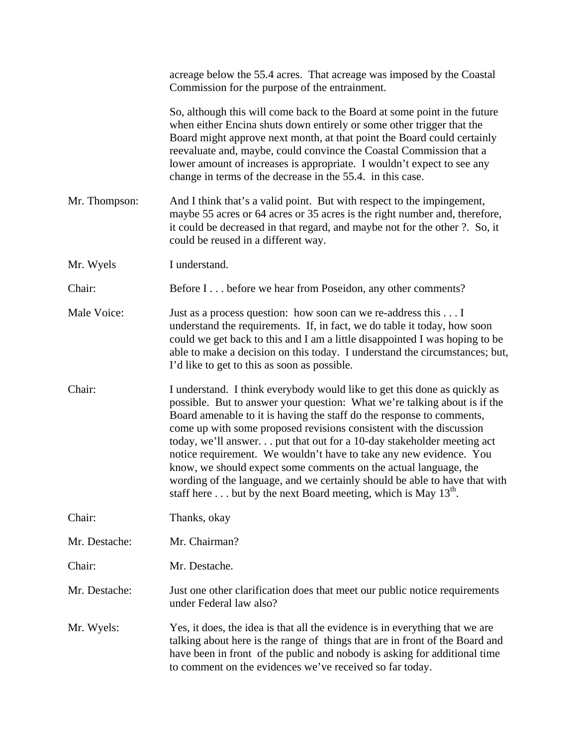|               | acreage below the 55.4 acres. That acreage was imposed by the Coastal<br>Commission for the purpose of the entrainment.                                                                                                                                                                                                                                                                                                                                                                                                                                                                                                                                                         |
|---------------|---------------------------------------------------------------------------------------------------------------------------------------------------------------------------------------------------------------------------------------------------------------------------------------------------------------------------------------------------------------------------------------------------------------------------------------------------------------------------------------------------------------------------------------------------------------------------------------------------------------------------------------------------------------------------------|
|               | So, although this will come back to the Board at some point in the future<br>when either Encina shuts down entirely or some other trigger that the<br>Board might approve next month, at that point the Board could certainly<br>reevaluate and, maybe, could convince the Coastal Commission that a<br>lower amount of increases is appropriate. I wouldn't expect to see any<br>change in terms of the decrease in the 55.4. in this case.                                                                                                                                                                                                                                    |
| Mr. Thompson: | And I think that's a valid point. But with respect to the impingement,<br>maybe 55 acres or 64 acres or 35 acres is the right number and, therefore,<br>it could be decreased in that regard, and maybe not for the other ?. So, it<br>could be reused in a different way.                                                                                                                                                                                                                                                                                                                                                                                                      |
| Mr. Wyels     | I understand.                                                                                                                                                                                                                                                                                                                                                                                                                                                                                                                                                                                                                                                                   |
| Chair:        | Before I before we hear from Poseidon, any other comments?                                                                                                                                                                                                                                                                                                                                                                                                                                                                                                                                                                                                                      |
| Male Voice:   | Just as a process question: how soon can we re-address this I<br>understand the requirements. If, in fact, we do table it today, how soon<br>could we get back to this and I am a little disappointed I was hoping to be<br>able to make a decision on this today. I understand the circumstances; but,<br>I'd like to get to this as soon as possible.                                                                                                                                                                                                                                                                                                                         |
| Chair:        | I understand. I think everybody would like to get this done as quickly as<br>possible. But to answer your question: What we're talking about is if the<br>Board amenable to it is having the staff do the response to comments,<br>come up with some proposed revisions consistent with the discussion<br>today, we'll answer. put that out for a 10-day stakeholder meeting act<br>notice requirement. We wouldn't have to take any new evidence. You<br>know, we should expect some comments on the actual language, the<br>wording of the language, and we certainly should be able to have that with<br>staff here  but by the next Board meeting, which is May $13^{th}$ . |
| Chair:        | Thanks, okay                                                                                                                                                                                                                                                                                                                                                                                                                                                                                                                                                                                                                                                                    |
| Mr. Destache: | Mr. Chairman?                                                                                                                                                                                                                                                                                                                                                                                                                                                                                                                                                                                                                                                                   |
| Chair:        | Mr. Destache.                                                                                                                                                                                                                                                                                                                                                                                                                                                                                                                                                                                                                                                                   |
| Mr. Destache: | Just one other clarification does that meet our public notice requirements<br>under Federal law also?                                                                                                                                                                                                                                                                                                                                                                                                                                                                                                                                                                           |
| Mr. Wyels:    | Yes, it does, the idea is that all the evidence is in everything that we are<br>talking about here is the range of things that are in front of the Board and<br>have been in front of the public and nobody is asking for additional time<br>to comment on the evidences we've received so far today.                                                                                                                                                                                                                                                                                                                                                                           |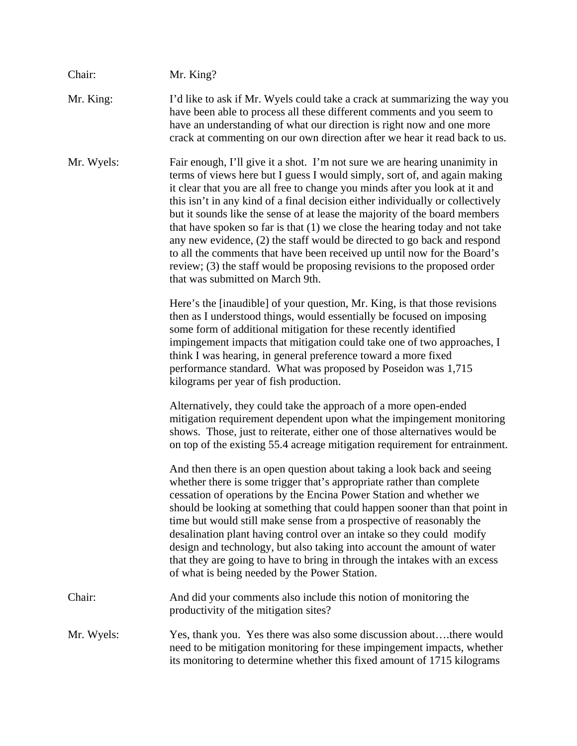| Chair:     | Mr. King?                                                                                                                                                                                                                                                                                                                                                                                                                                                                                                                                                                                                                                                                                                                                                       |
|------------|-----------------------------------------------------------------------------------------------------------------------------------------------------------------------------------------------------------------------------------------------------------------------------------------------------------------------------------------------------------------------------------------------------------------------------------------------------------------------------------------------------------------------------------------------------------------------------------------------------------------------------------------------------------------------------------------------------------------------------------------------------------------|
| Mr. King:  | I'd like to ask if Mr. Wyels could take a crack at summarizing the way you<br>have been able to process all these different comments and you seem to<br>have an understanding of what our direction is right now and one more<br>crack at commenting on our own direction after we hear it read back to us.                                                                                                                                                                                                                                                                                                                                                                                                                                                     |
| Mr. Wyels: | Fair enough, I'll give it a shot. I'm not sure we are hearing unanimity in<br>terms of views here but I guess I would simply, sort of, and again making<br>it clear that you are all free to change you minds after you look at it and<br>this isn't in any kind of a final decision either individually or collectively<br>but it sounds like the sense of at lease the majority of the board members<br>that have spoken so far is that $(1)$ we close the hearing today and not take<br>any new evidence, (2) the staff would be directed to go back and respond<br>to all the comments that have been received up until now for the Board's<br>review; (3) the staff would be proposing revisions to the proposed order<br>that was submitted on March 9th. |
|            | Here's the [inaudible] of your question, Mr. King, is that those revisions<br>then as I understood things, would essentially be focused on imposing<br>some form of additional mitigation for these recently identified<br>impingement impacts that mitigation could take one of two approaches, I<br>think I was hearing, in general preference toward a more fixed<br>performance standard. What was proposed by Poseidon was 1,715<br>kilograms per year of fish production.                                                                                                                                                                                                                                                                                 |
|            | Alternatively, they could take the approach of a more open-ended<br>mitigation requirement dependent upon what the impingement monitoring<br>shows. Those, just to reiterate, either one of those alternatives would be<br>on top of the existing 55.4 acreage mitigation requirement for entrainment.                                                                                                                                                                                                                                                                                                                                                                                                                                                          |
|            | And then there is an open question about taking a look back and seeing<br>whether there is some trigger that's appropriate rather than complete<br>cessation of operations by the Encina Power Station and whether we<br>should be looking at something that could happen sooner than that point in<br>time but would still make sense from a prospective of reasonably the<br>desalination plant having control over an intake so they could modify<br>design and technology, but also taking into account the amount of water<br>that they are going to have to bring in through the intakes with an excess<br>of what is being needed by the Power Station.                                                                                                  |
| Chair:     | And did your comments also include this notion of monitoring the<br>productivity of the mitigation sites?                                                                                                                                                                                                                                                                                                                                                                                                                                                                                                                                                                                                                                                       |
| Mr. Wyels: | Yes, thank you. Yes there was also some discussion aboutthere would<br>need to be mitigation monitoring for these impingement impacts, whether<br>its monitoring to determine whether this fixed amount of 1715 kilograms                                                                                                                                                                                                                                                                                                                                                                                                                                                                                                                                       |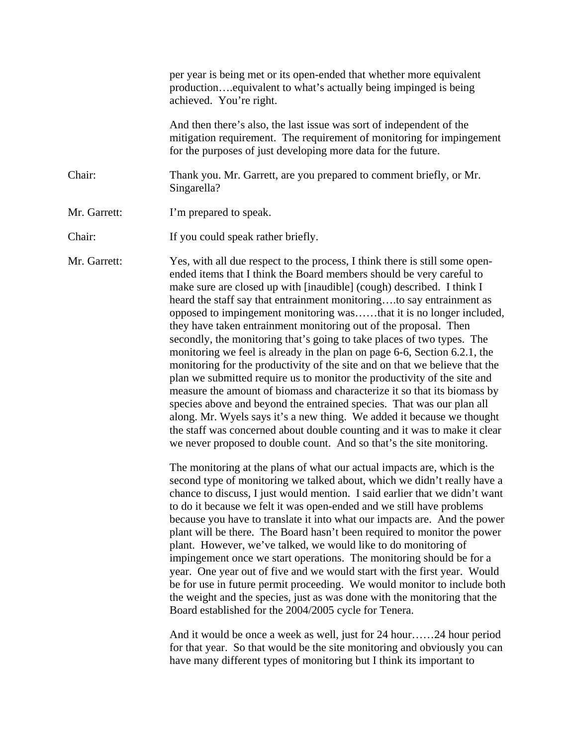|              | per year is being met or its open-ended that whether more equivalent<br>production equivalent to what's actually being impinged is being<br>achieved. You're right.                                                                                                                                                                                                                                                                                                                                                                                                                                                                                                                                                                                                                                                                                                                                                                                                                                                                                                                                                                                    |
|--------------|--------------------------------------------------------------------------------------------------------------------------------------------------------------------------------------------------------------------------------------------------------------------------------------------------------------------------------------------------------------------------------------------------------------------------------------------------------------------------------------------------------------------------------------------------------------------------------------------------------------------------------------------------------------------------------------------------------------------------------------------------------------------------------------------------------------------------------------------------------------------------------------------------------------------------------------------------------------------------------------------------------------------------------------------------------------------------------------------------------------------------------------------------------|
|              | And then there's also, the last issue was sort of independent of the<br>mitigation requirement. The requirement of monitoring for impingement<br>for the purposes of just developing more data for the future.                                                                                                                                                                                                                                                                                                                                                                                                                                                                                                                                                                                                                                                                                                                                                                                                                                                                                                                                         |
| Chair:       | Thank you. Mr. Garrett, are you prepared to comment briefly, or Mr.<br>Singarella?                                                                                                                                                                                                                                                                                                                                                                                                                                                                                                                                                                                                                                                                                                                                                                                                                                                                                                                                                                                                                                                                     |
| Mr. Garrett: | I'm prepared to speak.                                                                                                                                                                                                                                                                                                                                                                                                                                                                                                                                                                                                                                                                                                                                                                                                                                                                                                                                                                                                                                                                                                                                 |
| Chair:       | If you could speak rather briefly.                                                                                                                                                                                                                                                                                                                                                                                                                                                                                                                                                                                                                                                                                                                                                                                                                                                                                                                                                                                                                                                                                                                     |
| Mr. Garrett: | Yes, with all due respect to the process, I think there is still some open-<br>ended items that I think the Board members should be very careful to<br>make sure are closed up with [inaudible] (cough) described. I think I<br>heard the staff say that entrainment monitoringto say entrainment as<br>opposed to impingement monitoring wasthat it is no longer included,<br>they have taken entrainment monitoring out of the proposal. Then<br>secondly, the monitoring that's going to take places of two types. The<br>monitoring we feel is already in the plan on page 6-6, Section 6.2.1, the<br>monitoring for the productivity of the site and on that we believe that the<br>plan we submitted require us to monitor the productivity of the site and<br>measure the amount of biomass and characterize it so that its biomass by<br>species above and beyond the entrained species. That was our plan all<br>along. Mr. Wyels says it's a new thing. We added it because we thought<br>the staff was concerned about double counting and it was to make it clear<br>we never proposed to double count. And so that's the site monitoring. |
|              | The monitoring at the plans of what our actual impacts are, which is the<br>second type of monitoring we talked about, which we didn't really have a<br>chance to discuss, I just would mention. I said earlier that we didn't want<br>to do it because we felt it was open-ended and we still have problems<br>because you have to translate it into what our impacts are. And the power<br>plant will be there. The Board hasn't been required to monitor the power<br>plant. However, we've talked, we would like to do monitoring of<br>impingement once we start operations. The monitoring should be for a<br>year. One year out of five and we would start with the first year. Would<br>be for use in future permit proceeding. We would monitor to include both<br>the weight and the species, just as was done with the monitoring that the<br>Board established for the 2004/2005 cycle for Tenera.<br>And it would be once a week as well, just for 24 hour24 hour period<br>for that year. So that would be the site monitoring and obviously you can<br>have many different types of monitoring but I think its important to             |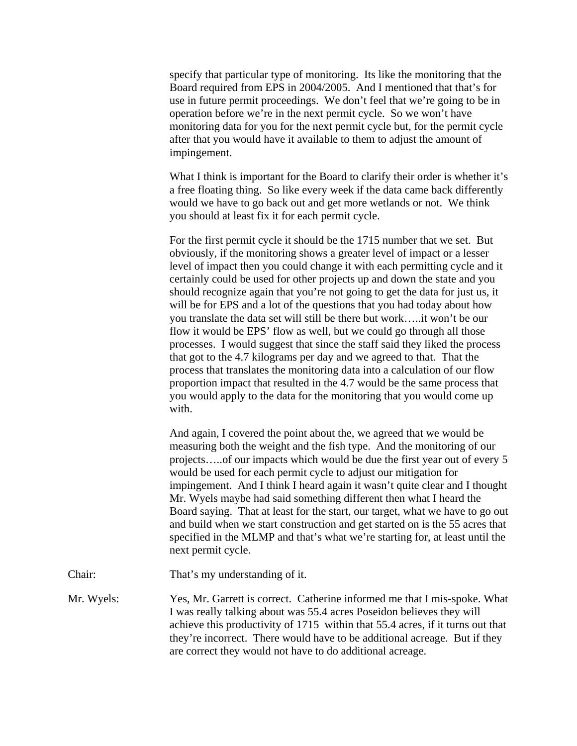specify that particular type of monitoring. Its like the monitoring that the Board required from EPS in 2004/2005. And I mentioned that that's for use in future permit proceedings. We don't feel that we're going to be in operation before we're in the next permit cycle. So we won't have monitoring data for you for the next permit cycle but, for the permit cycle after that you would have it available to them to adjust the amount of impingement.

 What I think is important for the Board to clarify their order is whether it's a free floating thing. So like every week if the data came back differently would we have to go back out and get more wetlands or not. We think you should at least fix it for each permit cycle.

 For the first permit cycle it should be the 1715 number that we set. But obviously, if the monitoring shows a greater level of impact or a lesser level of impact then you could change it with each permitting cycle and it certainly could be used for other projects up and down the state and you should recognize again that you're not going to get the data for just us, it will be for EPS and a lot of the questions that you had today about how you translate the data set will still be there but work…..it won't be our flow it would be EPS' flow as well, but we could go through all those processes. I would suggest that since the staff said they liked the process that got to the 4.7 kilograms per day and we agreed to that. That the process that translates the monitoring data into a calculation of our flow proportion impact that resulted in the 4.7 would be the same process that you would apply to the data for the monitoring that you would come up with.

 And again, I covered the point about the, we agreed that we would be measuring both the weight and the fish type. And the monitoring of our projects…..of our impacts which would be due the first year out of every 5 would be used for each permit cycle to adjust our mitigation for impingement. And I think I heard again it wasn't quite clear and I thought Mr. Wyels maybe had said something different then what I heard the Board saying. That at least for the start, our target, what we have to go out and build when we start construction and get started on is the 55 acres that specified in the MLMP and that's what we're starting for, at least until the next permit cycle.

Chair: That's my understanding of it.

Mr. Wyels: Yes, Mr. Garrett is correct. Catherine informed me that I mis-spoke. What I was really talking about was 55.4 acres Poseidon believes they will achieve this productivity of 1715 within that 55.4 acres, if it turns out that they're incorrect. There would have to be additional acreage. But if they are correct they would not have to do additional acreage.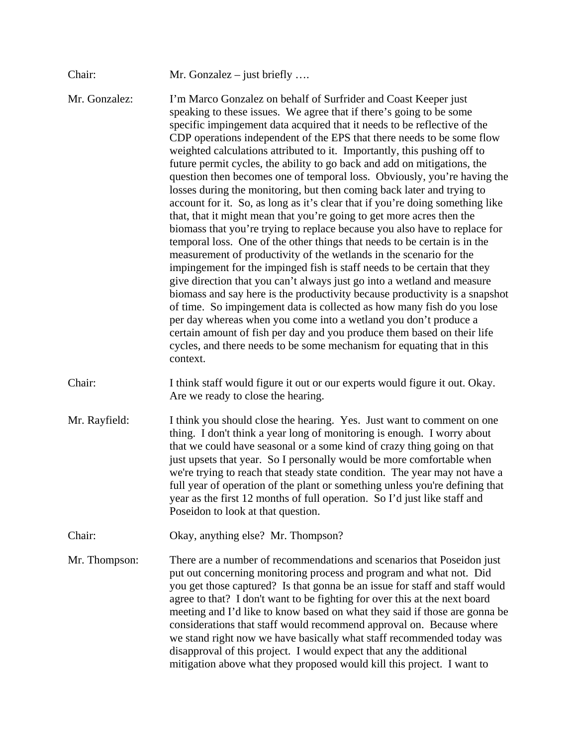| Chair:        | Mr. Gonzalez $-$ just briefly                                                                                                                                                                                                                                                                                                                                                                                                                                                                                                                                                                                                                                                                                                                                                                                                                                                                                                                                                                                                                                                                                                                                                                                                                                                                                                                                                                                                                                                                                                                               |
|---------------|-------------------------------------------------------------------------------------------------------------------------------------------------------------------------------------------------------------------------------------------------------------------------------------------------------------------------------------------------------------------------------------------------------------------------------------------------------------------------------------------------------------------------------------------------------------------------------------------------------------------------------------------------------------------------------------------------------------------------------------------------------------------------------------------------------------------------------------------------------------------------------------------------------------------------------------------------------------------------------------------------------------------------------------------------------------------------------------------------------------------------------------------------------------------------------------------------------------------------------------------------------------------------------------------------------------------------------------------------------------------------------------------------------------------------------------------------------------------------------------------------------------------------------------------------------------|
| Mr. Gonzalez: | I'm Marco Gonzalez on behalf of Surfrider and Coast Keeper just<br>speaking to these issues. We agree that if there's going to be some<br>specific impingement data acquired that it needs to be reflective of the<br>CDP operations independent of the EPS that there needs to be some flow<br>weighted calculations attributed to it. Importantly, this pushing off to<br>future permit cycles, the ability to go back and add on mitigations, the<br>question then becomes one of temporal loss. Obviously, you're having the<br>losses during the monitoring, but then coming back later and trying to<br>account for it. So, as long as it's clear that if you're doing something like<br>that, that it might mean that you're going to get more acres then the<br>biomass that you're trying to replace because you also have to replace for<br>temporal loss. One of the other things that needs to be certain is in the<br>measurement of productivity of the wetlands in the scenario for the<br>impingement for the impinged fish is staff needs to be certain that they<br>give direction that you can't always just go into a wetland and measure<br>biomass and say here is the productivity because productivity is a snapshot<br>of time. So impingement data is collected as how many fish do you lose<br>per day whereas when you come into a wetland you don't produce a<br>certain amount of fish per day and you produce them based on their life<br>cycles, and there needs to be some mechanism for equating that in this<br>context. |
| Chair:        | I think staff would figure it out or our experts would figure it out. Okay.<br>Are we ready to close the hearing.                                                                                                                                                                                                                                                                                                                                                                                                                                                                                                                                                                                                                                                                                                                                                                                                                                                                                                                                                                                                                                                                                                                                                                                                                                                                                                                                                                                                                                           |
| Mr. Rayfield: | I think you should close the hearing. Yes. Just want to comment on one<br>thing. I don't think a year long of monitoring is enough. I worry about<br>that we could have seasonal or a some kind of crazy thing going on that<br>just upsets that year. So I personally would be more comfortable when<br>we're trying to reach that steady state condition. The year may not have a<br>full year of operation of the plant or something unless you're defining that<br>year as the first 12 months of full operation. So I'd just like staff and<br>Poseidon to look at that question.                                                                                                                                                                                                                                                                                                                                                                                                                                                                                                                                                                                                                                                                                                                                                                                                                                                                                                                                                                      |
| Chair:        | Okay, anything else? Mr. Thompson?                                                                                                                                                                                                                                                                                                                                                                                                                                                                                                                                                                                                                                                                                                                                                                                                                                                                                                                                                                                                                                                                                                                                                                                                                                                                                                                                                                                                                                                                                                                          |
| Mr. Thompson: | There are a number of recommendations and scenarios that Poseidon just<br>put out concerning monitoring process and program and what not. Did<br>you get those captured? Is that gonna be an issue for staff and staff would<br>agree to that? I don't want to be fighting for over this at the next board<br>meeting and I'd like to know based on what they said if those are gonna be<br>considerations that staff would recommend approval on. Because where<br>we stand right now we have basically what staff recommended today was<br>disapproval of this project. I would expect that any the additional<br>mitigation above what they proposed would kill this project. I want to                                                                                                                                                                                                                                                                                                                                                                                                                                                                                                                                                                                                                                                                                                                                                                                                                                                                  |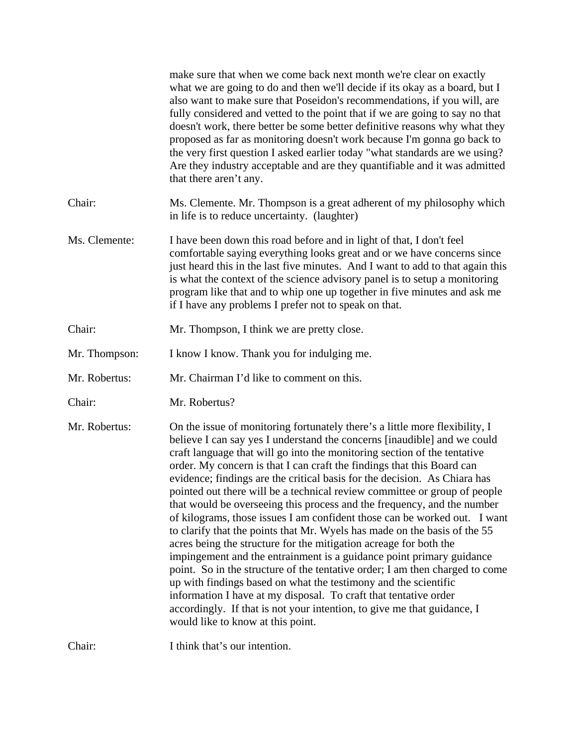|               | make sure that when we come back next month we're clear on exactly<br>what we are going to do and then we'll decide if its okay as a board, but I<br>also want to make sure that Poseidon's recommendations, if you will, are<br>fully considered and vetted to the point that if we are going to say no that<br>doesn't work, there better be some better definitive reasons why what they<br>proposed as far as monitoring doesn't work because I'm gonna go back to<br>the very first question I asked earlier today "what standards are we using?<br>Are they industry acceptable and are they quantifiable and it was admitted<br>that there aren't any.                                                                                                                                                                                                                                                                                                                                                                                                                                                                                                                                    |
|---------------|--------------------------------------------------------------------------------------------------------------------------------------------------------------------------------------------------------------------------------------------------------------------------------------------------------------------------------------------------------------------------------------------------------------------------------------------------------------------------------------------------------------------------------------------------------------------------------------------------------------------------------------------------------------------------------------------------------------------------------------------------------------------------------------------------------------------------------------------------------------------------------------------------------------------------------------------------------------------------------------------------------------------------------------------------------------------------------------------------------------------------------------------------------------------------------------------------|
| Chair:        | Ms. Clemente. Mr. Thompson is a great adherent of my philosophy which<br>in life is to reduce uncertainty. (laughter)                                                                                                                                                                                                                                                                                                                                                                                                                                                                                                                                                                                                                                                                                                                                                                                                                                                                                                                                                                                                                                                                            |
| Ms. Clemente: | I have been down this road before and in light of that, I don't feel<br>comfortable saying everything looks great and or we have concerns since<br>just heard this in the last five minutes. And I want to add to that again this<br>is what the context of the science advisory panel is to setup a monitoring<br>program like that and to whip one up together in five minutes and ask me<br>if I have any problems I prefer not to speak on that.                                                                                                                                                                                                                                                                                                                                                                                                                                                                                                                                                                                                                                                                                                                                             |
| Chair:        | Mr. Thompson, I think we are pretty close.                                                                                                                                                                                                                                                                                                                                                                                                                                                                                                                                                                                                                                                                                                                                                                                                                                                                                                                                                                                                                                                                                                                                                       |
| Mr. Thompson: | I know I know. Thank you for indulging me.                                                                                                                                                                                                                                                                                                                                                                                                                                                                                                                                                                                                                                                                                                                                                                                                                                                                                                                                                                                                                                                                                                                                                       |
| Mr. Robertus: | Mr. Chairman I'd like to comment on this.                                                                                                                                                                                                                                                                                                                                                                                                                                                                                                                                                                                                                                                                                                                                                                                                                                                                                                                                                                                                                                                                                                                                                        |
| Chair:        | Mr. Robertus?                                                                                                                                                                                                                                                                                                                                                                                                                                                                                                                                                                                                                                                                                                                                                                                                                                                                                                                                                                                                                                                                                                                                                                                    |
| Mr. Robertus: | On the issue of monitoring fortunately there's a little more flexibility, I<br>believe I can say yes I understand the concerns [inaudible] and we could<br>craft language that will go into the monitoring section of the tentative<br>order. My concern is that I can craft the findings that this Board can<br>evidence; findings are the critical basis for the decision. As Chiara has<br>pointed out there will be a technical review committee or group of people<br>that would be overseeing this process and the frequency, and the number<br>of kilograms, those issues I am confident those can be worked out. I want<br>to clarify that the points that Mr. Wyels has made on the basis of the 55<br>acres being the structure for the mitigation acreage for both the<br>impingement and the entrainment is a guidance point primary guidance<br>point. So in the structure of the tentative order; I am then charged to come<br>up with findings based on what the testimony and the scientific<br>information I have at my disposal. To craft that tentative order<br>accordingly. If that is not your intention, to give me that guidance, I<br>would like to know at this point. |
| Chair:        | I think that's our intention.                                                                                                                                                                                                                                                                                                                                                                                                                                                                                                                                                                                                                                                                                                                                                                                                                                                                                                                                                                                                                                                                                                                                                                    |